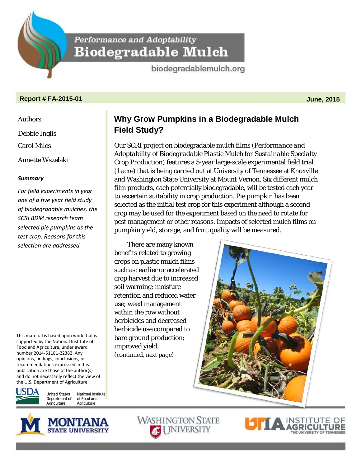Performance and Adoptability **Biodegradable Mulch** 

biodegradablemulch.org

## **Report # FA-2015-01 June, 2015**

Authors:

Debbie Inglis

Carol Miles

Annette Wszelaki

## *Summary*

*For field experiments in year one of a five year field study of biodegradable mulches, the SCRI BDM research team selected pie pumpkins as the test crop. Reasons for this selection are addressed.* 

This material is based upon work that is supported by the National Institute of Food and Agriculture, under award number 2014-51181-22382. Any opinions, findings, conclusions, or recommendations expressed in this publication are those of the author(s) and do not necessarily reflect the view of the U.S. Department of Agriculture.



**United States** National Institute Department of of Food and Agriculture Agriculture



Our SCRI project on biodegradable mulch films (*Performance and Adoptability of Biodegradable Plastic Mulch for Sustainable Specialty Crop Production*) features a 5-year large-scale experimental field trial (1 acre) that is being carried out at University of Tennessee at Knoxville and Washington State University at Mount Vernon. Six different mulch film products, each potentially biodegradable, will be tested each year to ascertain suitability in crop production. Pie pumpkin has been selected as the initial test crop for this experiment although a second crop may be used for the experiment based on the need to rotate for pest management or other reasons. Impacts of selected mulch films on pumpkin yield, storage, and fruit quality will be measured.

There are many known benefits related to growing crops on plastic mulch films such as: earlier or accelerated crop harvest due to increased soil warming; moisture retention and reduced water use; weed management within the row without herbicides and decreased herbicide use compared to bare ground production; improved yield; (*continued, next page*)



**WASHINGTON STATE ACT INIVERSITY**